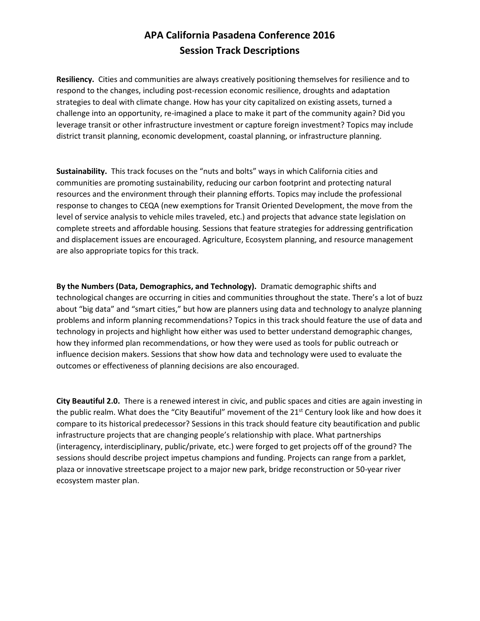## **APA California Pasadena Conference 2016 Session Track Descriptions**

**Resiliency.** Cities and communities are always creatively positioning themselves for resilience and to respond to the changes, including post-recession economic resilience, droughts and adaptation strategies to deal with climate change. How has your city capitalized on existing assets, turned a challenge into an opportunity, re-imagined a place to make it part of the community again? Did you leverage transit or other infrastructure investment or capture foreign investment? Topics may include district transit planning, economic development, coastal planning, or infrastructure planning.

**Sustainability.** This track focuses on the "nuts and bolts" ways in which California cities and communities are promoting sustainability, reducing our carbon footprint and protecting natural resources and the environment through their planning efforts. Topics may include the professional response to changes to CEQA (new exemptions for Transit Oriented Development, the move from the level of service analysis to vehicle miles traveled, etc.) and projects that advance state legislation on complete streets and affordable housing. Sessions that feature strategies for addressing gentrification and displacement issues are encouraged. Agriculture, Ecosystem planning, and resource management are also appropriate topics for this track.

**By the Numbers (Data, Demographics, and Technology).** Dramatic demographic shifts and technological changes are occurring in cities and communities throughout the state. There's a lot of buzz about "big data" and "smart cities," but how are planners using data and technology to analyze planning problems and inform planning recommendations? Topics in this track should feature the use of data and technology in projects and highlight how either was used to better understand demographic changes, how they informed plan recommendations, or how they were used as tools for public outreach or influence decision makers. Sessions that show how data and technology were used to evaluate the outcomes or effectiveness of planning decisions are also encouraged.

**City Beautiful 2.0.** There is a renewed interest in civic, and public spaces and cities are again investing in the public realm. What does the "City Beautiful" movement of the  $21^{st}$  Century look like and how does it compare to its historical predecessor? Sessions in this track should feature city beautification and public infrastructure projects that are changing people's relationship with place. What partnerships (interagency, interdisciplinary, public/private, etc.) were forged to get projects off of the ground? The sessions should describe project impetus champions and funding. Projects can range from a parklet, plaza or innovative streetscape project to a major new park, bridge reconstruction or 50-year river ecosystem master plan.